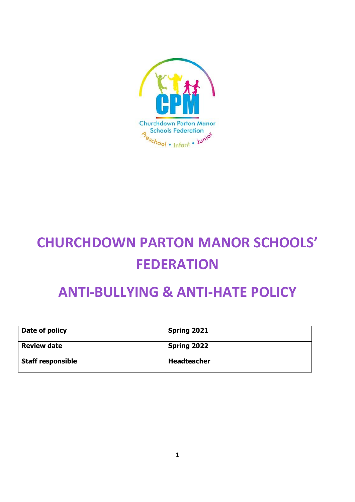

# **CHURCHDOWN PARTON MANOR SCHOOLS' FEDERATION**

# **ANTI-BULLYING & ANTI-HATE POLICY**

| Date of policy           | <b>Spring 2021</b> |
|--------------------------|--------------------|
| <b>Review date</b>       | <b>Spring 2022</b> |
| <b>Staff responsible</b> | <b>Headteacher</b> |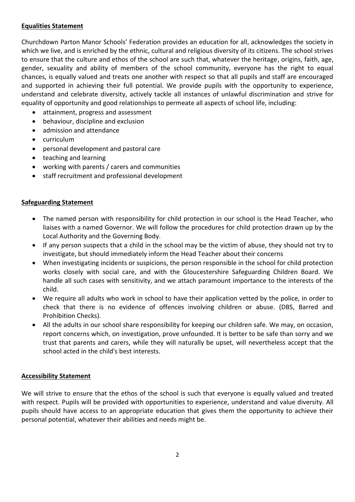#### **Equalities Statement**

Churchdown Parton Manor Schools' Federation provides an education for all, acknowledges the society in which we live, and is enriched by the ethnic, cultural and religious diversity of its citizens. The school strives to ensure that the culture and ethos of the school are such that, whatever the heritage, origins, faith, age, gender, sexuality and ability of members of the school community, everyone has the right to equal chances, is equally valued and treats one another with respect so that all pupils and staff are encouraged and supported in achieving their full potential. We provide pupils with the opportunity to experience, understand and celebrate diversity, actively tackle all instances of unlawful discrimination and strive for equality of opportunity and good relationships to permeate all aspects of school life, including:

- attainment, progress and assessment
- behaviour, discipline and exclusion
- admission and attendance
- curriculum
- personal development and pastoral care
- teaching and learning
- working with parents / carers and communities
- staff recruitment and professional development

#### **Safeguarding Statement**

- The named person with responsibility for child protection in our school is the Head Teacher, who liaises with a named Governor. We will follow the procedures for child protection drawn up by the Local Authority and the Governing Body.
- If any person suspects that a child in the school may be the victim of abuse, they should not try to investigate, but should immediately inform the Head Teacher about their concerns
- When investigating incidents or suspicions, the person responsible in the school for child protection works closely with social care, and with the Gloucestershire Safeguarding Children Board. We handle all such cases with sensitivity, and we attach paramount importance to the interests of the child.
- We require all adults who work in school to have their application vetted by the police, in order to check that there is no evidence of offences involving children or abuse. (DBS, Barred and Prohibition Checks).
- All the adults in our school share responsibility for keeping our children safe. We may, on occasion, report concerns which, on investigation, prove unfounded. It is better to be safe than sorry and we trust that parents and carers, while they will naturally be upset, will nevertheless accept that the school acted in the child's best interests.

#### **Accessibility Statement**

We will strive to ensure that the ethos of the school is such that everyone is equally valued and treated with respect. Pupils will be provided with opportunities to experience, understand and value diversity. All pupils should have access to an appropriate education that gives them the opportunity to achieve their personal potential, whatever their abilities and needs might be.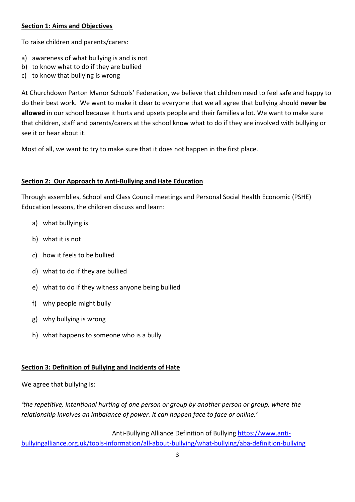#### **Section 1: Aims and Objectives**

To raise children and parents/carers:

- a) awareness of what bullying is and is not
- b) to know what to do if they are bullied
- c) to know that bullying is wrong

At Churchdown Parton Manor Schools' Federation, we believe that children need to feel safe and happy to do their best work. We want to make it clear to everyone that we all agree that bullying should **never be allowed** in our school because it hurts and upsets people and their families a lot. We want to make sure that children, staff and parents/carers at the school know what to do if they are involved with bullying or see it or hear about it.

Most of all, we want to try to make sure that it does not happen in the first place.

#### **Section 2: Our Approach to Anti-Bullying and Hate Education**

Through assemblies, School and Class Council meetings and Personal Social Health Economic (PSHE) Education lessons, the children discuss and learn:

- a) what bullying is
- b) what it is not
- c) how it feels to be bullied
- d) what to do if they are bullied
- e) what to do if they witness anyone being bullied
- f) why people might bully
- g) why bullying is wrong
- h) what happens to someone who is a bully

#### **Section 3: Definition of Bullying and Incidents of Hate**

We agree that bullying is:

*'the repetitive, intentional hurting of one person or group by another person or group, where the relationship involves an imbalance of power. It can happen face to face or online.'*

 Anti-Bullying Alliance Definition of Bullyin[g https://www.anti](https://www.anti-bullyingalliance.org.uk/tools-information/all-about-bullying/what-bullying/aba-definition-bullying)[bullyingalliance.org.uk/tools-information/all-about-bullying/what-bullying/aba-definition-bullying](https://www.anti-bullyingalliance.org.uk/tools-information/all-about-bullying/what-bullying/aba-definition-bullying)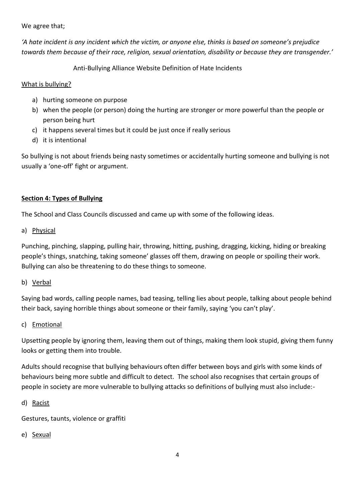We agree that;

*'A hate incident is any incident which the victim, or anyone else, thinks is based on someone's prejudice towards them because of their race, religion, sexual orientation, disability or because they are transgender.'* 

Anti-Bullying Alliance Website Definition of Hate Incidents

#### What is bullying?

- a) hurting someone on purpose
- b) when the people (or person) doing the hurting are stronger or more powerful than the people or person being hurt
- c) it happens several times but it could be just once if really serious
- d) it is intentional

So bullying is not about friends being nasty sometimes or accidentally hurting someone and bullying is not usually a 'one-off' fight or argument.

# **Section 4: Types of Bullying**

The School and Class Councils discussed and came up with some of the following ideas.

#### a) Physical

Punching, pinching, slapping, pulling hair, throwing, hitting, pushing, dragging, kicking, hiding or breaking people's things, snatching, taking someone' glasses off them, drawing on people or spoiling their work. Bullying can also be threatening to do these things to someone.

#### b) Verbal

Saying bad words, calling people names, bad teasing, telling lies about people, talking about people behind their back, saying horrible things about someone or their family, saying 'you can't play'.

#### c) Emotional

Upsetting people by ignoring them, leaving them out of things, making them look stupid, giving them funny looks or getting them into trouble.

Adults should recognise that bullying behaviours often differ between boys and girls with some kinds of behaviours being more subtle and difficult to detect. The school also recognises that certain groups of people in society are more vulnerable to bullying attacks so definitions of bullying must also include:-

#### d) Racist

Gestures, taunts, violence or graffiti

e) Sexual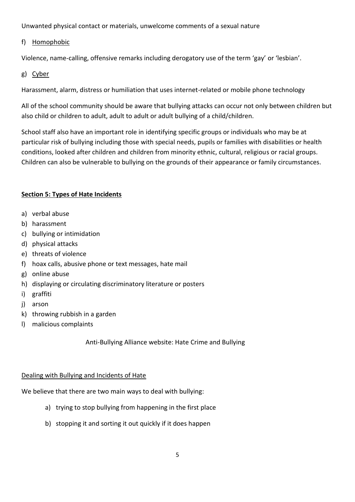Unwanted physical contact or materials, unwelcome comments of a sexual nature

## f) Homophobic

Violence, name-calling, offensive remarks including derogatory use of the term 'gay' or 'lesbian'.

# g) Cyber

Harassment, alarm, distress or humiliation that uses internet-related or mobile phone technology

All of the school community should be aware that bullying attacks can occur not only between children but also child or children to adult, adult to adult or adult bullying of a child/children.

School staff also have an important role in identifying specific groups or individuals who may be at particular risk of bullying including those with special needs, pupils or families with disabilities or health conditions, looked after children and children from minority ethnic, cultural, religious or racial groups. Children can also be vulnerable to bullying on the grounds of their appearance or family circumstances.

# **Section 5: Types of Hate Incidents**

- a) verbal abuse
- b) harassment
- c) bullying or intimidation
- d) physical attacks
- e) threats of violence
- f) hoax calls, abusive phone or text messages, hate mail
- g) online abuse
- h) displaying or circulating discriminatory literature or posters
- i) graffiti
- j) arson
- k) throwing rubbish in a garden
- l) malicious complaints

Anti-Bullying Alliance website: Hate Crime and Bullying

#### Dealing with Bullying and Incidents of Hate

We believe that there are two main ways to deal with bullying:

- a) trying to stop bullying from happening in the first place
- b) stopping it and sorting it out quickly if it does happen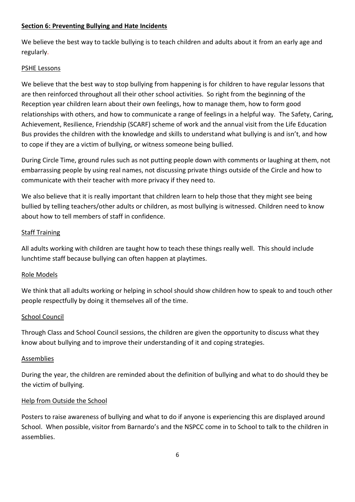#### **Section 6: Preventing Bullying and Hate Incidents**

We believe the best way to tackle bullying is to teach children and adults about it from an early age and regularly.

# PSHE Lessons

We believe that the best way to stop bullying from happening is for children to have regular lessons that are then reinforced throughout all their other school activities. So right from the beginning of the Reception year children learn about their own feelings, how to manage them, how to form good relationships with others, and how to communicate a range of feelings in a helpful way. The Safety, Caring, Achievement, Resilience, Friendship (SCARF) scheme of work and the annual visit from the Life Education Bus provides the children with the knowledge and skills to understand what bullying is and isn't, and how to cope if they are a victim of bullying, or witness someone being bullied.

During Circle Time, ground rules such as not putting people down with comments or laughing at them, not embarrassing people by using real names, not discussing private things outside of the Circle and how to communicate with their teacher with more privacy if they need to.

We also believe that it is really important that children learn to help those that they might see being bullied by telling teachers/other adults or children, as most bullying is witnessed. Children need to know about how to tell members of staff in confidence.

#### Staff Training

All adults working with children are taught how to teach these things really well. This should include lunchtime staff because bullying can often happen at playtimes.

#### Role Models

We think that all adults working or helping in school should show children how to speak to and touch other people respectfully by doing it themselves all of the time.

#### School Council

Through Class and School Council sessions, the children are given the opportunity to discuss what they know about bullying and to improve their understanding of it and coping strategies.

#### **Assemblies**

During the year, the children are reminded about the definition of bullying and what to do should they be the victim of bullying.

#### Help from Outside the School

Posters to raise awareness of bullying and what to do if anyone is experiencing this are displayed around School. When possible, visitor from Barnardo's and the NSPCC come in to School to talk to the children in assemblies.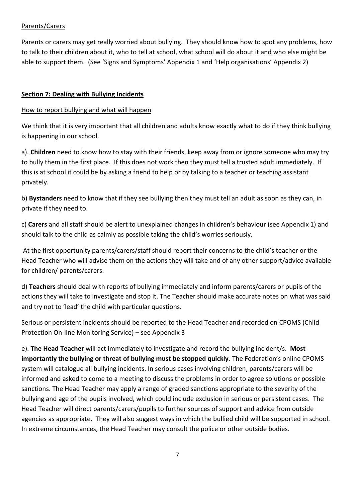#### Parents/Carers

Parents or carers may get really worried about bullying. They should know how to spot any problems, how to talk to their children about it, who to tell at school, what school will do about it and who else might be able to support them. (See 'Signs and Symptoms' Appendix 1 and 'Help organisations' Appendix 2)

#### **Section 7: Dealing with Bullying Incidents**

#### How to report bullying and what will happen

We think that it is very important that all children and adults know exactly what to do if they think bullying is happening in our school.

a). **Children** need to know how to stay with their friends, keep away from or ignore someone who may try to bully them in the first place. If this does not work then they must tell a trusted adult immediately. If this is at school it could be by asking a friend to help or by talking to a teacher or teaching assistant privately.

b) **Bystanders** need to know that if they see bullying then they must tell an adult as soon as they can, in private if they need to.

c) **Carers** and all staff should be alert to unexplained changes in children's behaviour (see Appendix 1) and should talk to the child as calmly as possible taking the child's worries seriously.

At the first opportunity parents/carers/staff should report their concerns to the child's teacher or the Head Teacher who will advise them on the actions they will take and of any other support/advice available for children/ parents/carers.

d) **Teachers** should deal with reports of bullying immediately and inform parents/carers or pupils of the actions they will take to investigate and stop it. The Teacher should make accurate notes on what was said and try not to 'lead' the child with particular questions.

Serious or persistent incidents should be reported to the Head Teacher and recorded on CPOMS (Child Protection On-line Monitoring Service) – see Appendix 3

e). **The Head Teacher** will act immediately to investigate and record the bullying incident/s. **Most importantly the bullying or threat of bullying must be stopped quickly**. The Federation's online CPOMS system will catalogue all bullying incidents. In serious cases involving children, parents/carers will be informed and asked to come to a meeting to discuss the problems in order to agree solutions or possible sanctions. The Head Teacher may apply a range of graded sanctions appropriate to the severity of the bullying and age of the pupils involved, which could include exclusion in serious or persistent cases. The Head Teacher will direct parents/carers/pupils to further sources of support and advice from outside agencies as appropriate. They will also suggest ways in which the bullied child will be supported in school. In extreme circumstances, the Head Teacher may consult the police or other outside bodies.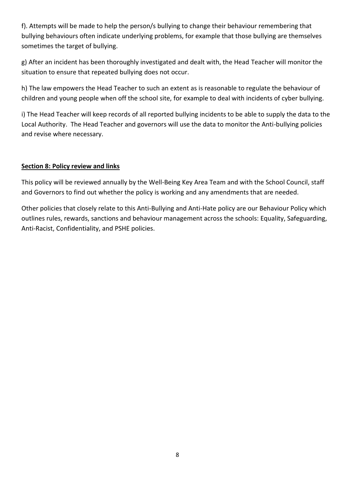f). Attempts will be made to help the person/s bullying to change their behaviour remembering that bullying behaviours often indicate underlying problems, for example that those bullying are themselves sometimes the target of bullying.

g) After an incident has been thoroughly investigated and dealt with, the Head Teacher will monitor the situation to ensure that repeated bullying does not occur.

h) The law empowers the Head Teacher to such an extent as is reasonable to regulate the behaviour of children and young people when off the school site, for example to deal with incidents of cyber bullying.

i) The Head Teacher will keep records of all reported bullying incidents to be able to supply the data to the Local Authority. The Head Teacher and governors will use the data to monitor the Anti-bullying policies and revise where necessary.

#### **Section 8: Policy review and links**

This policy will be reviewed annually by the Well-Being Key Area Team and with the School Council, staff and Governors to find out whether the policy is working and any amendments that are needed.

Other policies that closely relate to this Anti-Bullying and Anti-Hate policy are our Behaviour Policy which outlines rules, rewards, sanctions and behaviour management across the schools: Equality, Safeguarding, Anti-Racist, Confidentiality, and PSHE policies.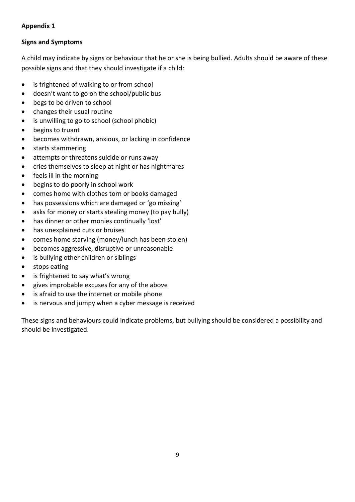# **Appendix 1**

# **Signs and Symptoms**

A child may indicate by signs or behaviour that he or she is being bullied. Adults should be aware of these possible signs and that they should investigate if a child:

- is frightened of walking to or from school
- doesn't want to go on the school/public bus
- begs to be driven to school
- changes their usual routine
- is unwilling to go to school (school phobic)
- begins to truant
- becomes withdrawn, anxious, or lacking in confidence
- starts stammering
- attempts or threatens suicide or runs away
- cries themselves to sleep at night or has nightmares
- feels ill in the morning
- begins to do poorly in school work
- comes home with clothes torn or books damaged
- has possessions which are damaged or 'go missing'
- asks for money or starts stealing money (to pay bully)
- has dinner or other monies continually 'lost'
- has unexplained cuts or bruises
- comes home starving (money/lunch has been stolen)
- becomes aggressive, disruptive or unreasonable
- is bullying other children or siblings
- stops eating
- is frightened to say what's wrong
- gives improbable excuses for any of the above
- is afraid to use the internet or mobile phone
- is nervous and jumpy when a cyber message is received

These signs and behaviours could indicate problems, but bullying should be considered a possibility and should be investigated.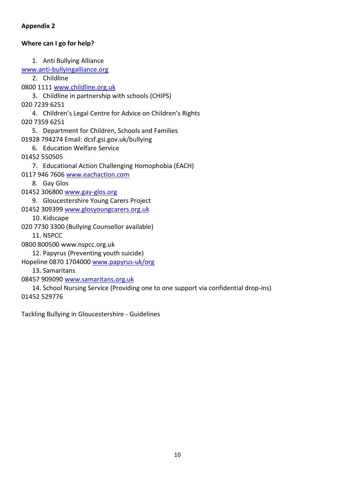## **Appendix 2**

# **Where can I go for help?**

1. Anti Bullying Alliance [www.anti-bullyingalliance.org](http://www.anti-bullyingalliance.org/) 2. Childline 0800 1111 [www.childline.org.uk](http://www.childline.org.uk/) 3. Childline in partnership with schools (CHIPS) 020 7239 6251 4. Children's Legal Centre for Advice on Children's Rights 020 7359 6251 5. Department for Children, Schools and Families 01928 794274 Email: dcsf.gsi.gov.uk/bullying 6. Education Welfare Service 01452 550505 7. Educational Action Challenging Homophobia (EACH) 0117 946 7606 [www.eachaction.com](http://www.eachaction.com/) 8. Gay Glos 01452 306800 [www.gay-glos.org](http://www.gay-glos.org/) 9. Gloucestershire Young Carers Project 01452 309399 [www.glosyoungcarers.org.uk](http://www.glosyoungcarers.org.uk/) 10. Kidscape 020 7730 3300 (Bullying Counsellor available) 11. NSPCC 0800 800500 www.nspcc.org.uk 12. Papyrus (Preventing youth suicide) Hopeline 0870 1704000 [www.papyrus-uk/org](http://www.papyrus-uk/org) 13. Samaritans 08457 909090 [www.samaritans.org.uk](http://www.samaritans.org.uk/) 14. School Nursing Service (Providing one to one support via confidential drop-ins)

01452 529776

Tackling Bullying in Gloucestershire - Guidelines